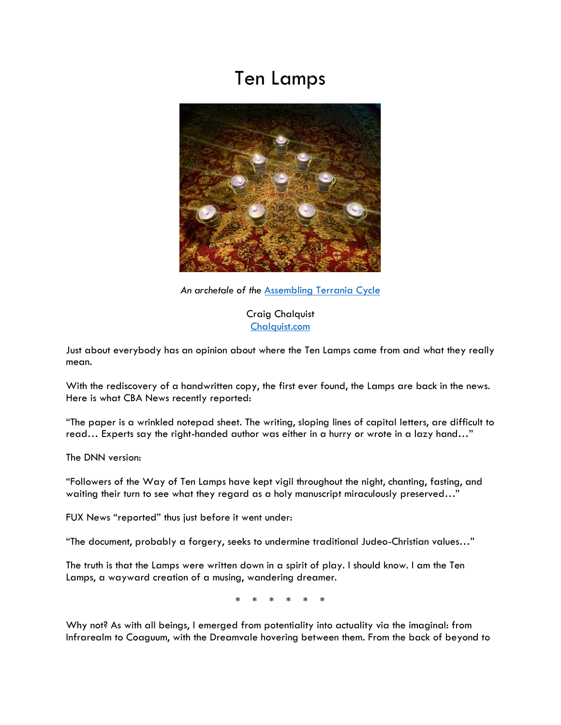## Ten Lamps



*An archetale of the* [Assembling Terrania Cycle](https://www.chalquist.com/fiction)

Craig Chalquist [Chalquist.com](http://www.chalquist.com/)

Just about everybody has an opinion about where the Ten Lamps came from and what they really mean.

With the rediscovery of a handwritten copy, the first ever found, the Lamps are back in the news. Here is what CBA News recently reported:

"The paper is a wrinkled notepad sheet. The writing, sloping lines of capital letters, are difficult to read… Experts say the right-handed author was either in a hurry or wrote in a lazy hand…"

The DNN version:

"Followers of the Way of Ten Lamps have kept vigil throughout the night, chanting, fasting, and waiting their turn to see what they regard as a holy manuscript miraculously preserved..."

FUX News "reported" thus just before it went under:

"The document, probably a forgery, seeks to undermine traditional Judeo-Christian values…"

The truth is that the Lamps were written down in a spirit of play. I should know. I am the Ten Lamps, a wayward creation of a musing, wandering dreamer.

\* \* \* \* \* \*

Why not? As with all beings, I emerged from potentiality into actuality via the imaginal: from Infrarealm to Coaguum, with the Dreamvale hovering between them. From the back of beyond to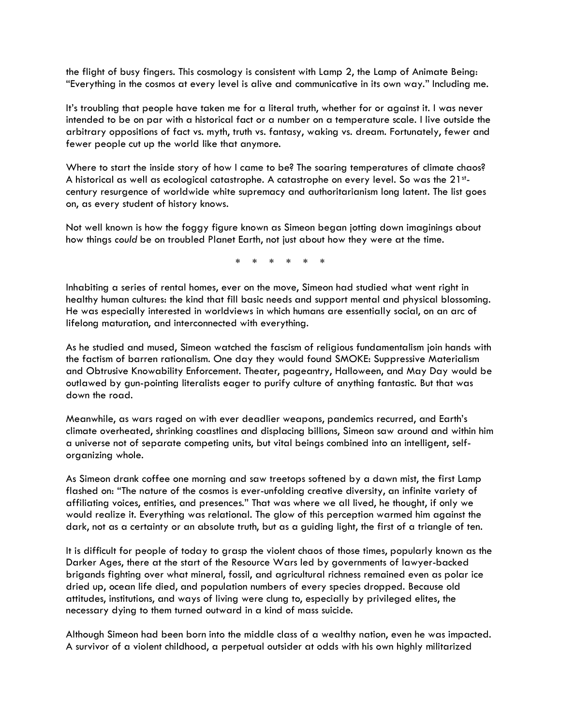the flight of busy fingers. This cosmology is consistent with Lamp 2, the Lamp of Animate Being: "Everything in the cosmos at every level is alive and communicative in its own way." Including me.

It's troubling that people have taken me for a literal truth, whether for or against it. I was never intended to be on par with a historical fact or a number on a temperature scale. I live outside the arbitrary oppositions of fact vs. myth, truth vs. fantasy, waking vs. dream. Fortunately, fewer and fewer people cut up the world like that anymore.

Where to start the inside story of how I came to be? The soaring temperatures of climate chaos? A historical as well as ecological catastrophe. A catastrophe on every level. So was the 21stcentury resurgence of worldwide white supremacy and authoritarianism long latent. The list goes on, as every student of history knows.

Not well known is how the foggy figure known as Simeon began jotting down imaginings about how things *could* be on troubled Planet Earth, not just about how they were at the time.

\* \* \* \* \* \*

Inhabiting a series of rental homes, ever on the move, Simeon had studied what went right in healthy human cultures: the kind that fill basic needs and support mental and physical blossoming. He was especially interested in worldviews in which humans are essentially social, on an arc of lifelong maturation, and interconnected with everything.

As he studied and mused, Simeon watched the fascism of religious fundamentalism join hands with the factism of barren rationalism. One day they would found SMOKE: Suppressive Materialism and Obtrusive Knowability Enforcement. Theater, pageantry, Halloween, and May Day would be outlawed by gun-pointing literalists eager to purify culture of anything fantastic. But that was down the road.

Meanwhile, as wars raged on with ever deadlier weapons, pandemics recurred, and Earth's climate overheated, shrinking coastlines and displacing billions, Simeon saw around and within him a universe not of separate competing units, but vital beings combined into an intelligent, selforganizing whole.

As Simeon drank coffee one morning and saw treetops softened by a dawn mist, the first Lamp flashed on: "The nature of the cosmos is ever-unfolding creative diversity, an infinite variety of affiliating voices, entities, and presences." That was where we all lived, he thought, if only we would realize it. Everything was relational. The glow of this perception warmed him against the dark, not as a certainty or an absolute truth, but as a guiding light, the first of a triangle of ten.

It is difficult for people of today to grasp the violent chaos of those times, popularly known as the Darker Ages, there at the start of the Resource Wars led by governments of lawyer-backed brigands fighting over what mineral, fossil, and agricultural richness remained even as polar ice dried up, ocean life died, and population numbers of every species dropped. Because old attitudes, institutions, and ways of living were clung to, especially by privileged elites, the necessary dying to them turned outward in a kind of mass suicide.

Although Simeon had been born into the middle class of a wealthy nation, even he was impacted. A survivor of a violent childhood, a perpetual outsider at odds with his own highly militarized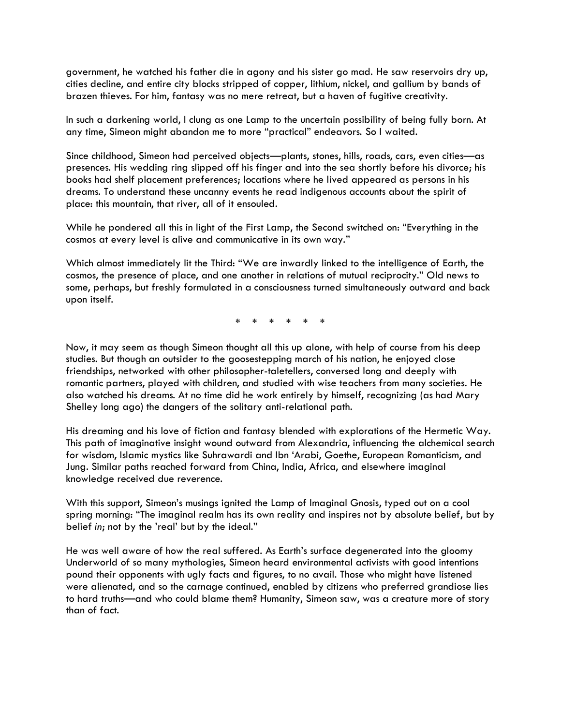government, he watched his father die in agony and his sister go mad. He saw reservoirs dry up, cities decline, and entire city blocks stripped of copper, lithium, nickel, and gallium by bands of brazen thieves. For him, fantasy was no mere retreat, but a haven of fugitive creativity.

In such a darkening world, I clung as one Lamp to the uncertain possibility of being fully born. At any time, Simeon might abandon me to more "practical" endeavors. So I waited.

Since childhood, Simeon had perceived objects—plants, stones, hills, roads, cars, even cities—as presences. His wedding ring slipped off his finger and into the sea shortly before his divorce; his books had shelf placement preferences; locations where he lived appeared as persons in his dreams. To understand these uncanny events he read indigenous accounts about the spirit of place: this mountain, that river, all of it ensouled.

While he pondered all this in light of the First Lamp, the Second switched on: "Everything in the cosmos at every level is alive and communicative in its own way."

Which almost immediately lit the Third: "We are inwardly linked to the intelligence of Earth, the cosmos, the presence of place, and one another in relations of mutual reciprocity." Old news to some, perhaps, but freshly formulated in a consciousness turned simultaneously outward and back upon itself.

\* \* \* \* \* \*

Now, it may seem as though Simeon thought all this up alone, with help of course from his deep studies. But though an outsider to the goosestepping march of his nation, he enjoyed close friendships, networked with other philosopher-taletellers, conversed long and deeply with romantic partners, played with children, and studied with wise teachers from many societies. He also watched his dreams. At no time did he work entirely by himself, recognizing (as had Mary Shelley long ago) the dangers of the solitary anti-relational path.

His dreaming and his love of fiction and fantasy blended with explorations of the Hermetic Way. This path of imaginative insight wound outward from Alexandria, influencing the alchemical search for wisdom, Islamic mystics like Suhrawardi and Ibn 'Arabi, Goethe, European Romanticism, and Jung. Similar paths reached forward from China, India, Africa, and elsewhere imaginal knowledge received due reverence.

With this support, Simeon's musings ignited the Lamp of Imaginal Gnosis, typed out on a cool spring morning: "The imaginal realm has its own reality and inspires not by absolute belief, but by belief *in*; not by the 'real' but by the ideal."

He was well aware of how the real suffered. As Earth's surface degenerated into the gloomy Underworld of so many mythologies, Simeon heard environmental activists with good intentions pound their opponents with ugly facts and figures, to no avail. Those who might have listened were alienated, and so the carnage continued, enabled by citizens who preferred grandiose lies to hard truths—and who could blame them? Humanity, Simeon saw, was a creature more of story than of fact.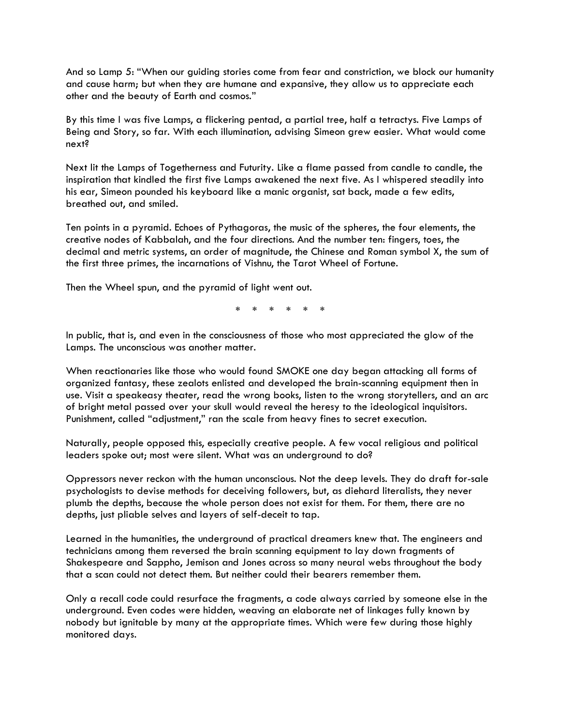And so Lamp 5: "When our guiding stories come from fear and constriction, we block our humanity and cause harm; but when they are humane and expansive, they allow us to appreciate each other and the beauty of Earth and cosmos."

By this time I was five Lamps, a flickering pentad, a partial tree, half a tetractys. Five Lamps of Being and Story, so far. With each illumination, advising Simeon grew easier. What would come next?

Next lit the Lamps of Togetherness and Futurity. Like a flame passed from candle to candle, the inspiration that kindled the first five Lamps awakened the next five. As I whispered steadily into his ear, Simeon pounded his keyboard like a manic organist, sat back, made a few edits, breathed out, and smiled.

Ten points in a pyramid. Echoes of Pythagoras, the music of the spheres, the four elements, the creative nodes of Kabbalah, and the four directions. And the number ten: fingers, toes, the decimal and metric systems, an order of magnitude, the Chinese and Roman symbol X, the sum of the first three primes, the incarnations of Vishnu, the Tarot Wheel of Fortune.

Then the Wheel spun, and the pyramid of light went out.

\* \* \* \* \* \*

In public, that is, and even in the consciousness of those who most appreciated the glow of the Lamps. The unconscious was another matter.

When reactionaries like those who would found SMOKE one day began attacking all forms of organized fantasy, these zealots enlisted and developed the brain-scanning equipment then in use. Visit a speakeasy theater, read the wrong books, listen to the wrong storytellers, and an arc of bright metal passed over your skull would reveal the heresy to the ideological inquisitors. Punishment, called "adjustment," ran the scale from heavy fines to secret execution.

Naturally, people opposed this, especially creative people. A few vocal religious and political leaders spoke out; most were silent. What was an underground to do?

Oppressors never reckon with the human unconscious. Not the deep levels. They do draft for-sale psychologists to devise methods for deceiving followers, but, as diehard literalists, they never plumb the depths, because the whole person does not exist for them. For them, there are no depths, just pliable selves and layers of self-deceit to tap.

Learned in the humanities, the underground of practical dreamers knew that. The engineers and technicians among them reversed the brain scanning equipment to lay down fragments of Shakespeare and Sappho, Jemison and Jones across so many neural webs throughout the body that a scan could not detect them. But neither could their bearers remember them.

Only a recall code could resurface the fragments, a code always carried by someone else in the underground. Even codes were hidden, weaving an elaborate net of linkages fully known by nobody but ignitable by many at the appropriate times. Which were few during those highly monitored days.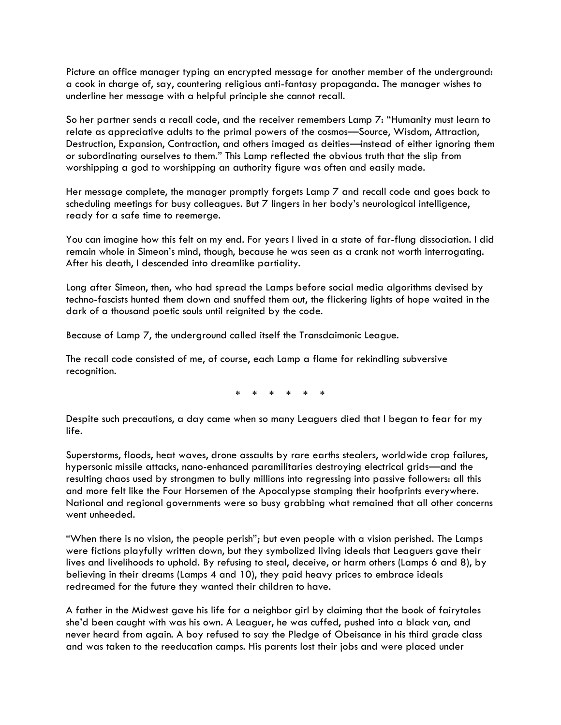Picture an office manager typing an encrypted message for another member of the underground: a cook in charge of, say, countering religious anti-fantasy propaganda. The manager wishes to underline her message with a helpful principle she cannot recall.

So her partner sends a recall code, and the receiver remembers Lamp 7: "Humanity must learn to relate as appreciative adults to the primal powers of the cosmos—Source, Wisdom, Attraction, Destruction, Expansion, Contraction, and others imaged as deities—instead of either ignoring them or subordinating ourselves to them." This Lamp reflected the obvious truth that the slip from worshipping a god to worshipping an authority figure was often and easily made.

Her message complete, the manager promptly forgets Lamp 7 and recall code and goes back to scheduling meetings for busy colleagues. But 7 lingers in her body's neurological intelligence, ready for a safe time to reemerge.

You can imagine how this felt on my end. For years I lived in a state of far-flung dissociation. I did remain whole in Simeon's mind, though, because he was seen as a crank not worth interrogating. After his death, I descended into dreamlike partiality.

Long after Simeon, then, who had spread the Lamps before social media algorithms devised by techno-fascists hunted them down and snuffed them out, the flickering lights of hope waited in the dark of a thousand poetic souls until reignited by the code.

Because of Lamp 7, the underground called itself the Transdaimonic League.

The recall code consisted of me, of course, each Lamp a flame for rekindling subversive recognition.

\* \* \* \* \* \*

Despite such precautions, a day came when so many Leaguers died that I began to fear for my life.

Superstorms, floods, heat waves, drone assaults by rare earths stealers, worldwide crop failures, hypersonic missile attacks, nano-enhanced paramilitaries destroying electrical grids—and the resulting chaos used by strongmen to bully millions into regressing into passive followers: all this and more felt like the Four Horsemen of the Apocalypse stamping their hoofprints everywhere. National and regional governments were so busy grabbing what remained that all other concerns went unheeded.

"When there is no vision, the people perish"; but even people with a vision perished. The Lamps were fictions playfully written down, but they symbolized living ideals that Leaguers gave their lives and livelihoods to uphold. By refusing to steal, deceive, or harm others (Lamps 6 and 8), by believing in their dreams (Lamps 4 and 10), they paid heavy prices to embrace ideals redreamed for the future they wanted their children to have.

A father in the Midwest gave his life for a neighbor girl by claiming that the book of fairytales she'd been caught with was his own. A Leaguer, he was cuffed, pushed into a black van, and never heard from again. A boy refused to say the Pledge of Obeisance in his third grade class and was taken to the reeducation camps. His parents lost their jobs and were placed under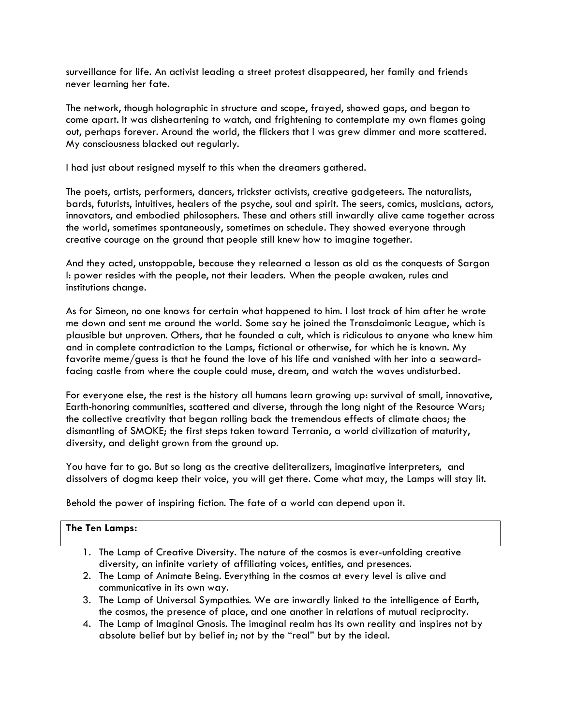surveillance for life. An activist leading a street protest disappeared, her family and friends never learning her fate.

The network, though holographic in structure and scope, frayed, showed gaps, and began to come apart. It was disheartening to watch, and frightening to contemplate my own flames going out, perhaps forever. Around the world, the flickers that I was grew dimmer and more scattered. My consciousness blacked out regularly.

I had just about resigned myself to this when the dreamers gathered.

The poets, artists, performers, dancers, trickster activists, creative gadgeteers. The naturalists, bards, futurists, intuitives, healers of the psyche, soul and spirit. The seers, comics, musicians, actors, innovators, and embodied philosophers. These and others still inwardly alive came together across the world, sometimes spontaneously, sometimes on schedule. They showed everyone through creative courage on the ground that people still knew how to imagine together.

And they acted, unstoppable, because they relearned a lesson as old as the conquests of Sargon I: power resides with the people, not their leaders. When the people awaken, rules and institutions change.

As for Simeon, no one knows for certain what happened to him. I lost track of him after he wrote me down and sent me around the world. Some say he joined the Transdaimonic League, which is plausible but unproven. Others, that he founded a cult, which is ridiculous to anyone who knew him and in complete contradiction to the Lamps, fictional or otherwise, for which he is known. My favorite meme/guess is that he found the love of his life and vanished with her into a seawardfacing castle from where the couple could muse, dream, and watch the waves undisturbed.

For everyone else, the rest is the history all humans learn growing up: survival of small, innovative, Earth-honoring communities, scattered and diverse, through the long night of the Resource Wars; the collective creativity that began rolling back the tremendous effects of climate chaos; the dismantling of SMOKE; the first steps taken toward Terrania, a world civilization of maturity, diversity, and delight grown from the ground up.

You have far to go. But so long as the creative deliteralizers, imaginative interpreters, and dissolvers of dogma keep their voice, you will get there. Come what may, the Lamps will stay lit.

Behold the power of inspiring fiction. The fate of a world can depend upon it.

## **The Ten Lamps:**

- 1. The Lamp of Creative Diversity. The nature of the cosmos is ever-unfolding creative diversity, an infinite variety of affiliating voices, entities, and presences.
- 2. The Lamp of Animate Being. Everything in the cosmos at every level is alive and communicative in its own way.
- 3. The Lamp of Universal Sympathies. We are inwardly linked to the intelligence of Earth, the cosmos, the presence of place, and one another in relations of mutual reciprocity.
- 4. The Lamp of Imaginal Gnosis. The imaginal realm has its own reality and inspires not by absolute belief but by belief in; not by the "real" but by the ideal.